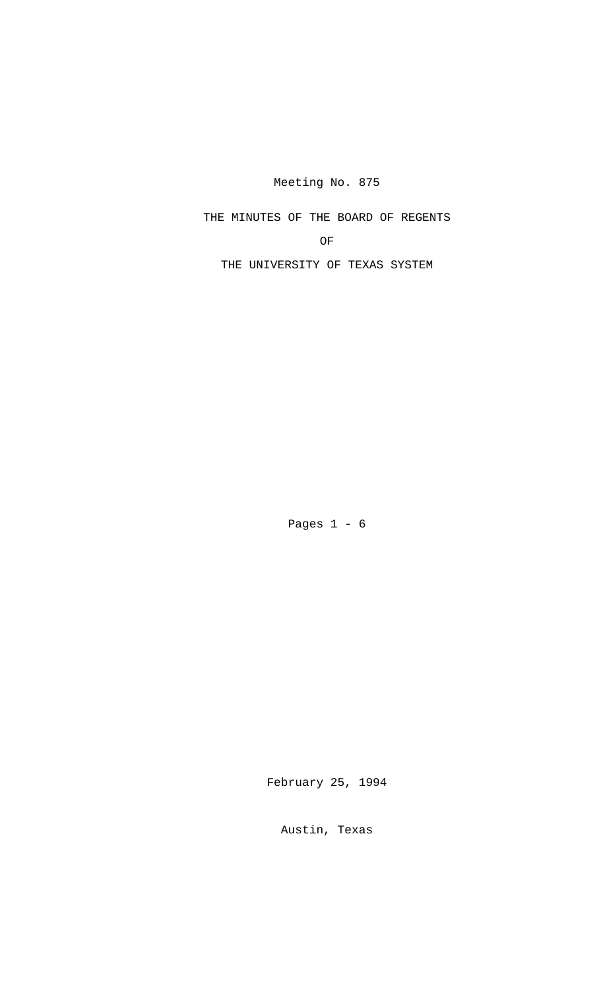Meeting No. 875

THE MINUTES OF THE BOARD OF REGENTS

OF

THE UNIVERSITY OF TEXAS SYSTEM

Pages  $1 - 6$ 

February 25, 1994

Austin, Texas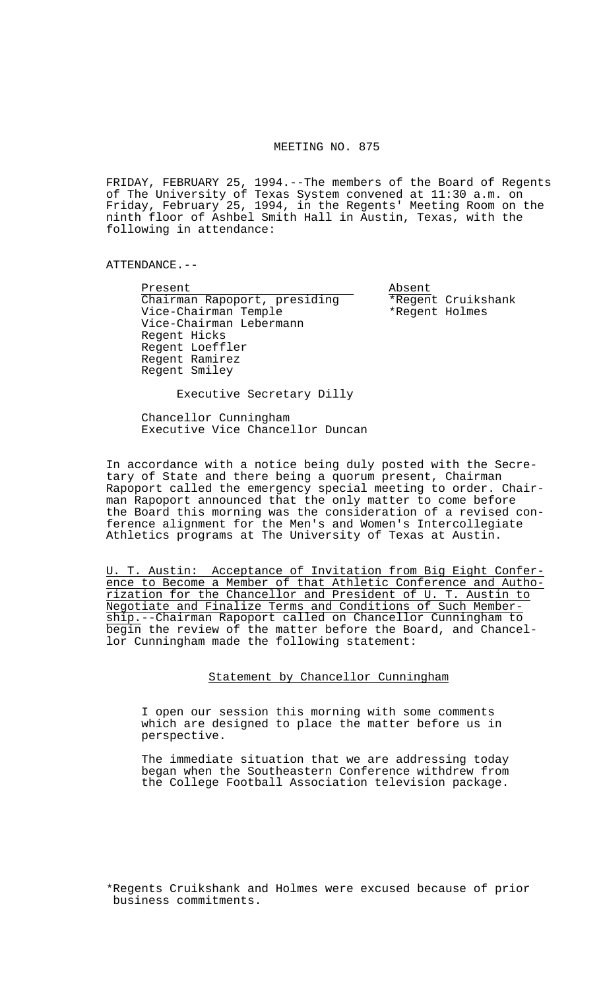## MEETING NO. 875

FRIDAY, FEBRUARY 25, 1994.--The members of the Board of Regents of The University of Texas System convened at 11:30 a.m. on Friday, February 25, 1994, in the Regents' Meeting Room on the ninth floor of Ashbel Smith Hall in Austin, Texas, with the following in attendance:

ATTENDANCE.--

Present Absent Chairman Rapoport, presiding<br>Vice-Chairman Temple \*Regent Holmes Vice-Chairman Temple Vice-Chairman Lebermann Regent Hicks Regent Loeffler Regent Ramirez Regent Smiley

Executive Secretary Dilly

 Chancellor Cunningham Executive Vice Chancellor Duncan

In accordance with a notice being duly posted with the Secretary of State and there being a quorum present, Chairman Rapoport called the emergency special meeting to order. Chairman Rapoport announced that the only matter to come before the Board this morning was the consideration of a revised conference alignment for the Men's and Women's Intercollegiate Athletics programs at The University of Texas at Austin.

U. T. Austin: Acceptance of Invitation from Big Eight Conference to Become a Member of that Athletic Conference and Authorization for the Chancellor and President of U. T. Austin to Negotiate and Finalize Terms and Conditions of Such Membership.--Chairman Rapoport called on Chancellor Cunningham to begin the review of the matter before the Board, and Chancellor Cunningham made the following statement:

Statement by Chancellor Cunningham

 I open our session this morning with some comments which are designed to place the matter before us in perspective.

 The immediate situation that we are addressing today began when the Southeastern Conference withdrew from the College Football Association television package.

\*Regents Cruikshank and Holmes were excused because of prior business commitments.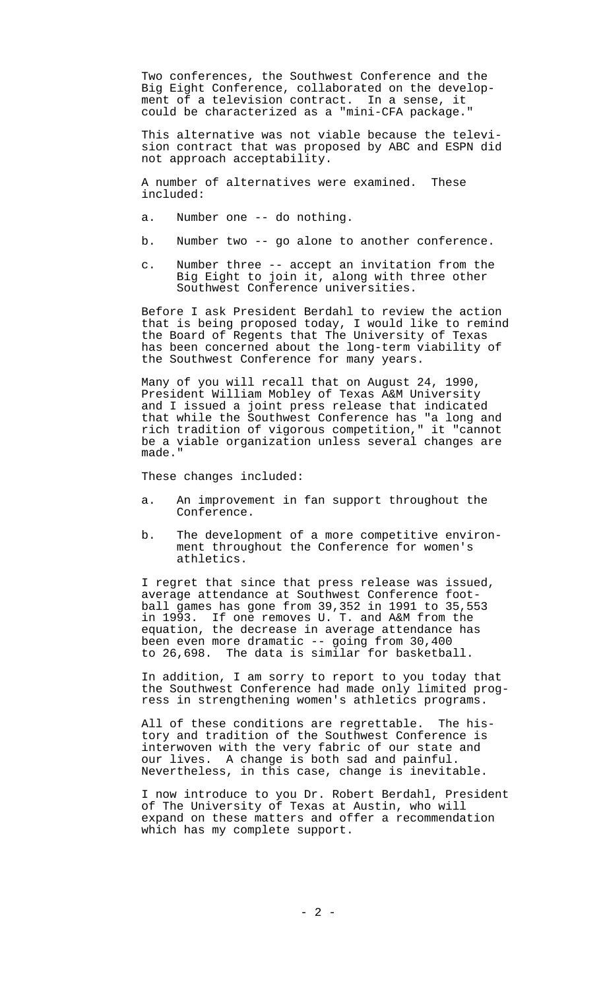Two conferences, the Southwest Conference and the Big Eight Conference, collaborated on the development of a television contract. In a sense, it could be characterized as a "mini-CFA package."

 This alternative was not viable because the television contract that was proposed by ABC and ESPN did not approach acceptability.

 A number of alternatives were examined. These included:

- a. Number one -- do nothing.
- b. Number two -- go alone to another conference.
- c. Number three -- accept an invitation from the Big Eight to join it, along with three other Southwest Conference universities.

 Before I ask President Berdahl to review the action that is being proposed today, I would like to remind the Board of Regents that The University of Texas has been concerned about the long-term viability of the Southwest Conference for many years.

 Many of you will recall that on August 24, 1990, President William Mobley of Texas A&M University and I issued a joint press release that indicated that while the Southwest Conference has "a long and rich tradition of vigorous competition," it "cannot be a viable organization unless several changes are made."

These changes included:

- a. An improvement in fan support throughout the Conference.
- b. The development of a more competitive environment throughout the Conference for women's athletics.

 I regret that since that press release was issued, average attendance at Southwest Conference football games has gone from 39,352 in 1991 to 35,553 in 1993. If one removes U. T. and A&M from the equation, the decrease in average attendance has been even more dramatic -- going from 30,400 to 26,698. The data is similar for basketball.

 In addition, I am sorry to report to you today that the Southwest Conference had made only limited progress in strengthening women's athletics programs.

 All of these conditions are regrettable. The history and tradition of the Southwest Conference is interwoven with the very fabric of our state and our lives. A change is both sad and painful. Nevertheless, in this case, change is inevitable.

 I now introduce to you Dr. Robert Berdahl, President of The University of Texas at Austin, who will expand on these matters and offer a recommendation which has my complete support.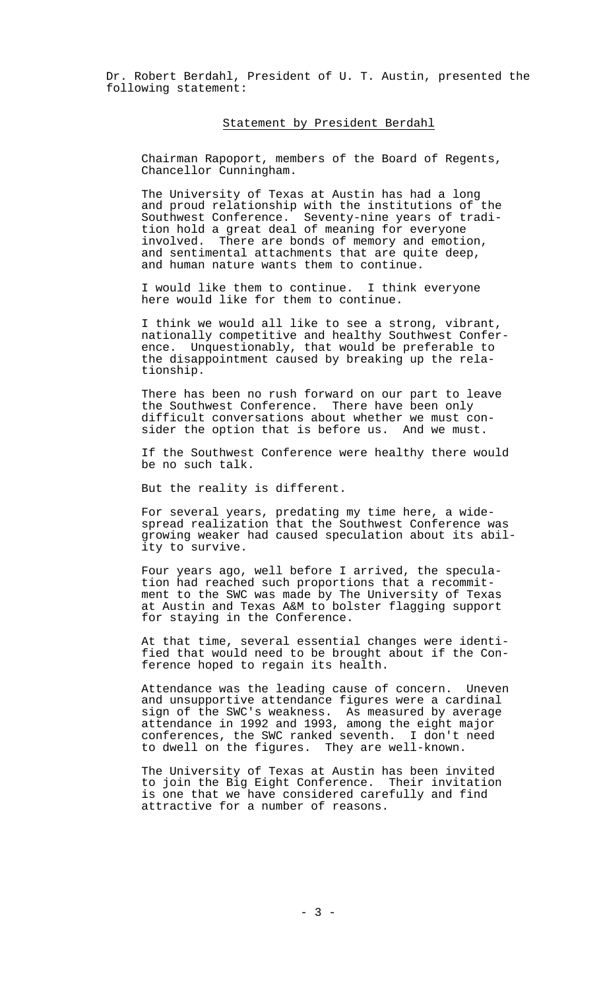Dr. Robert Berdahl, President of U. T. Austin, presented the following statement:

## Statement by President Berdahl

 Chairman Rapoport, members of the Board of Regents, Chancellor Cunningham.

 The University of Texas at Austin has had a long and proud relationship with the institutions of the Southwest Conference. Seventy-nine years of tradition hold a great deal of meaning for everyone involved. There are bonds of memory and emotion, and sentimental attachments that are quite deep, and human nature wants them to continue.

 I would like them to continue. I think everyone here would like for them to continue.

 I think we would all like to see a strong, vibrant, nationally competitive and healthy Southwest Conference. Unquestionably, that would be preferable to the disappointment caused by breaking up the relationship.

 There has been no rush forward on our part to leave the Southwest Conference. There have been only difficult conversations about whether we must consider the option that is before us. And we must.

 If the Southwest Conference were healthy there would be no such talk.

But the reality is different.

 For several years, predating my time here, a widespread realization that the Southwest Conference was growing weaker had caused speculation about its ability to survive.

 Four years ago, well before I arrived, the speculation had reached such proportions that a recommitment to the SWC was made by The University of Texas at Austin and Texas A&M to bolster flagging support for staying in the Conference.

 At that time, several essential changes were identified that would need to be brought about if the Conference hoped to regain its health.

 Attendance was the leading cause of concern. Uneven and unsupportive attendance figures were a cardinal sign of the SWC's weakness. As measured by average attendance in 1992 and 1993, among the eight major conferences, the SWC ranked seventh. I don't need to dwell on the figures. They are well-known.

 The University of Texas at Austin has been invited to join the Big Eight Conference. Their invitation is one that we have considered carefully and find attractive for a number of reasons.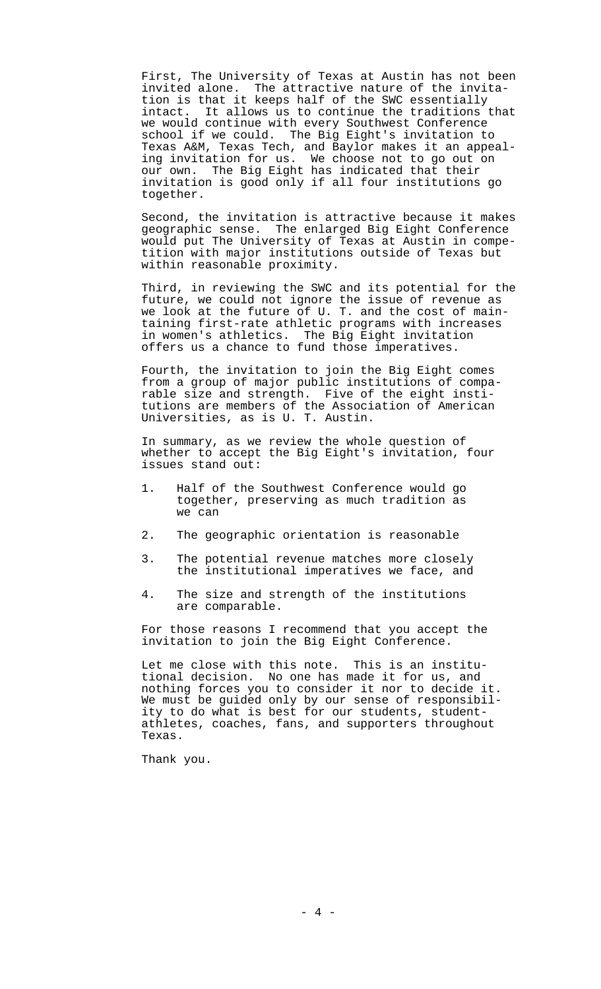First, The University of Texas at Austin has not been invited alone. The attractive nature of the invitation is that it keeps half of the SWC essentially intact. It allows us to continue the traditions that we would continue with every Southwest Conference school if we could. The Big Eight's invitation to Texas A&M, Texas Tech, and Baylor makes it an appealing invitation for us. We choose not to go out on our own. The Big Eight has indicated that their invitation is good only if all four institutions go together.

 Second, the invitation is attractive because it makes geographic sense. The enlarged Big Eight Conference would put The University of Texas at Austin in competition with major institutions outside of Texas but within reasonable proximity.

 Third, in reviewing the SWC and its potential for the future, we could not ignore the issue of revenue as we look at the future of U. T. and the cost of maintaining first-rate athletic programs with increases in women's athletics. The Big Eight invitation offers us a chance to fund those imperatives.

 Fourth, the invitation to join the Big Eight comes from a group of major public institutions of comparable size and strength. Five of the eight institutions are members of the Association of American Universities, as is U. T. Austin.

 In summary, as we review the whole question of whether to accept the Big Eight's invitation, four issues stand out:

- 1. Half of the Southwest Conference would go together, preserving as much tradition as we can
- 2. The geographic orientation is reasonable
- 3. The potential revenue matches more closely the institutional imperatives we face, and
- 4. The size and strength of the institutions are comparable.

 For those reasons I recommend that you accept the invitation to join the Big Eight Conference.

 Let me close with this note. This is an institutional decision. No one has made it for us, and nothing forces you to consider it nor to decide it. We must be guided only by our sense of responsibility to do what is best for our students, studentathletes, coaches, fans, and supporters throughout Texas.

Thank you.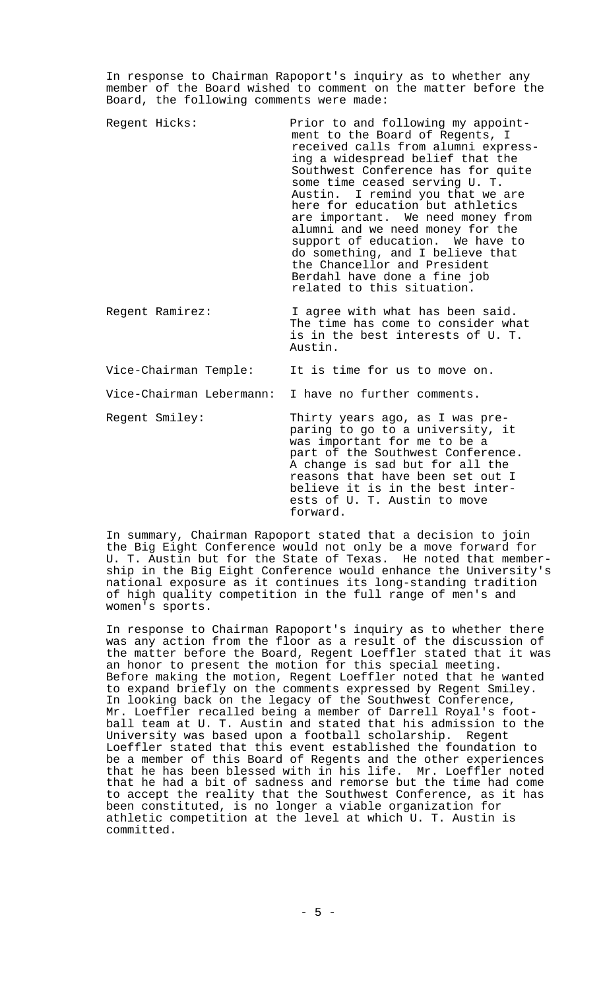In response to Chairman Rapoport's inquiry as to whether any member of the Board wished to comment on the matter before the Board, the following comments were made:

Regent Hicks: Prior to and following my appointment to the Board of Regents, I received calls from alumni expressing a widespread belief that the Southwest Conference has for quite some time ceased serving U. T. Austin. I remind you that we are here for education but athletics are important. We need money from alumni and we need money for the support of education. We have to do something, and I believe that the Chancellor and President Berdahl have done a fine job related to this situation.

Regent Ramirez: I agree with what has been said. The time has come to consider what is in the best interests of U. T. Austin.

| Vice-Chairman Temple:                                |  |  |  |  |  |  | It is time for us to move on. |  |
|------------------------------------------------------|--|--|--|--|--|--|-------------------------------|--|
| Vice-Chairman Lebermann: I have no further comments. |  |  |  |  |  |  |                               |  |

Regent Smiley: Thirty years ago, as I was preparing to go to a university, it was important for me to be a part of the Southwest Conference. A change is sad but for all the reasons that have been set out I believe it is in the best interests of U. T. Austin to move forward.

In summary, Chairman Rapoport stated that a decision to join the Big Eight Conference would not only be a move forward for U. T. Austin but for the State of Texas. He noted that membership in the Big Eight Conference would enhance the University's national exposure as it continues its long-standing tradition of high quality competition in the full range of men's and women's sports.

In response to Chairman Rapoport's inquiry as to whether there was any action from the floor as a result of the discussion of the matter before the Board, Regent Loeffler stated that it was an honor to present the motion for this special meeting. Before making the motion, Regent Loeffler noted that he wanted to expand briefly on the comments expressed by Regent Smiley. In looking back on the legacy of the Southwest Conference, Mr. Loeffler recalled being a member of Darrell Royal's football team at U. T. Austin and stated that his admission to the University was based upon a football scholarship. Regent Loeffler stated that this event established the foundation to be a member of this Board of Regents and the other experiences that he has been blessed with in his life. Mr. Loeffler noted that he had a bit of sadness and remorse but the time had come to accept the reality that the Southwest Conference, as it has been constituted, is no longer a viable organization for athletic competition at the level at which U. T. Austin is committed.

 $-5 -$